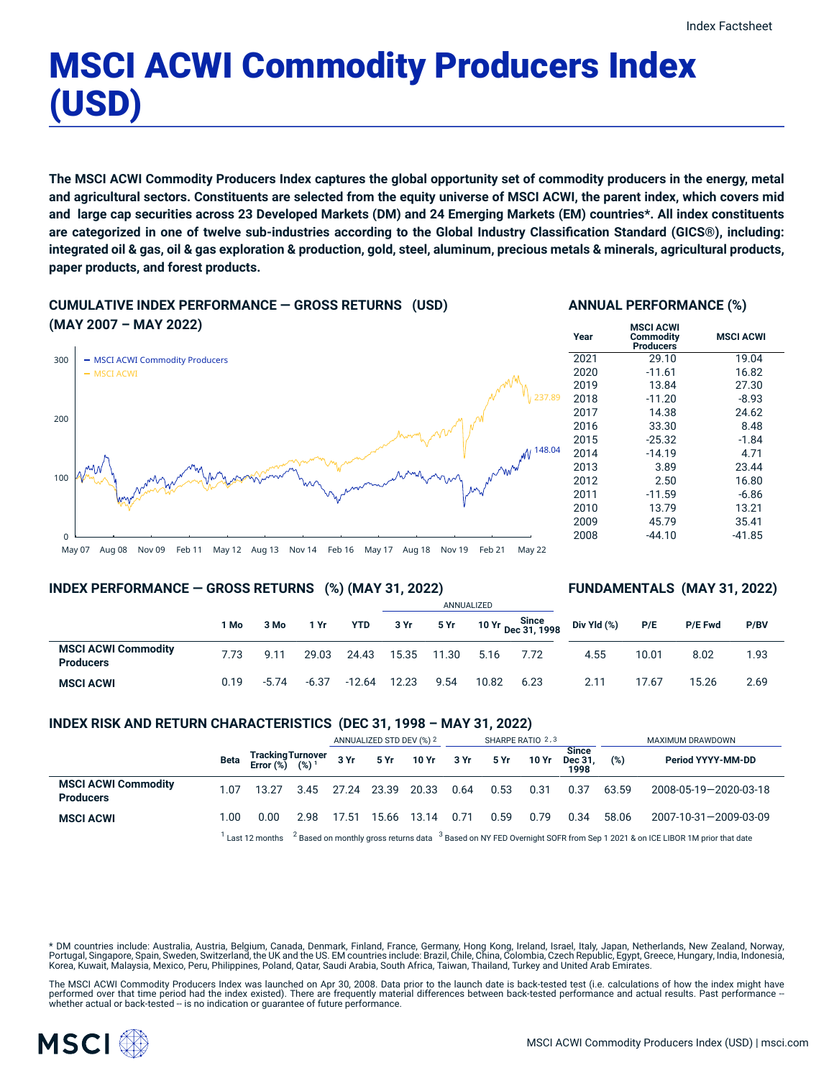**MSCI ACWI**

# MSCI ACWI Commodity Producers Index (USD)

The MSCI ACWI Commodity Producers Index captures the global opportunity set of commodity producers in the energy, metal and agricultural sectors. Constituents are selected from the equity universe of MSCI ACWI, the parent index, which covers mid and large cap securities across 23 Developed Markets (DM) and 24 Emerging Markets (EM) countries\*. All index constituents are categorized in one of twelve sub-industries according to the Global Industry Classification Standard (GICS®), including: integrated oil & gas, oil & gas exploration & production, gold, steel, aluminum, precious metals & minerals, agricultural products, **paper products, and forest products.**

### **CUMULATIVE INDEX PERFORMANCE — GROSS RETURNS (USD)**

**INDEX PERFORMANCE — GROSS RETURNS (%) (MAY 31, 2022)**

#### **ANNUAL PERFORMANCE (%) MSCI ACWI**

**Commodity Producers**



### **FUNDAMENTALS (MAY 31, 2022)**

|                                                |      |         |         |            |       |       | ANNUALIZED |                             |             |       |                |      |
|------------------------------------------------|------|---------|---------|------------|-------|-------|------------|-----------------------------|-------------|-------|----------------|------|
|                                                | 1 Mo | 3 Mo    | 1 Yr    | <b>YTD</b> | 3 Yr  | 5 Yr  |            | Since<br>10 Yr Dec 31, 1998 | Div Yld (%) | P/E   | <b>P/E Fwd</b> | P/BV |
| <b>MSCI ACWI Commodity</b><br><b>Producers</b> | 7.73 | 9.11    | 29.03   | 24.43      | 15.35 | 11.30 | 5.16       | 7.72                        | 4.55        | 10.01 | 8.02           | 1.93 |
| <b>MSCI ACWI</b>                               | 0.19 | $-5.74$ | $-6.37$ | $-12.64$   | 12.23 | 9.54  | 10.82      | 6.23                        | 2.11        | 17.67 | 15.26          | 2.69 |

#### **INDEX RISK AND RETURN CHARACTERISTICS (DEC 31, 1998 – MAY 31, 2022)**

|                                                |      |                                                                                                                                                |      | ANNUALIZED STD DEV (%) 2 |       |            | SHARPE RATIO 2,3 |      |              |                                 | MAXIMUM DRAWDOWN |                       |  |
|------------------------------------------------|------|------------------------------------------------------------------------------------------------------------------------------------------------|------|--------------------------|-------|------------|------------------|------|--------------|---------------------------------|------------------|-----------------------|--|
|                                                | Beta | TrackingTurnover<br>Error (%) (%) <sup>1</sup>                                                                                                 |      | 3Yr                      |       | 5 Yr 10 Yr | 3 Yr             | 5 Yr | <b>10 Yr</b> | <b>Since</b><br>Dec 31.<br>1998 | (%)              | Period YYYY-MM-DD     |  |
| <b>MSCI ACWI Commodity</b><br><b>Producers</b> | 1.07 | 13.27                                                                                                                                          | 3.45 | 27.24                    | 23.39 | 20.33      | 0.64             | 0.53 | 0.31         | 0.37                            | 63.59            | 2008-05-19-2020-03-18 |  |
| <b>MSCI ACWI</b>                               | 1.00 | 0.00                                                                                                                                           | 2.98 | 17.51                    | 15.66 | 13.14      | 0.71             | 0.59 | 0.79         | 0.34                            | 58.06            | 2007-10-31-2009-03-09 |  |
|                                                |      | $2$ Based on monthly gross returns data $3$ Based on NY FED Overnight SOFR from Sep 1 2021 & on ICE LIBOR 1M prior that date<br>Last 12 months |      |                          |       |            |                  |      |              |                                 |                  |                       |  |

\* DM countries include: Australia, Austria, Belgium, Canada, Denmark, Finland, France, Germany, Hong Kong, Ireland, Israel, Italy, Japan, Netherlands, New Zealand, Norway, Portugal, Singapore, Spain, Sweden, Switzerland, the UK and the US. EM countries include: Brazil, Chile, China, Colombia, Czech Republic, Egypt, Greece, Hungary, India, Indonesia, Korea, Kuwait, Malaysia, Mexico, Peru, Philippines, Poland, Qatar, Saudi Arabia, South Africa, Taiwan, Thailand, Turkey and United Arab Emirates.

The MSCI ACWI Commodity Producers Index was launched on Apr 30, 2008. Data prior to the launch date is back-tested test (i.e. calculations of how the index might have performed over that time period had the index existed). There are frequently material differences between back-tested performance and actual results. Past performance –<br>whether actual or back-tested – is no indication or g

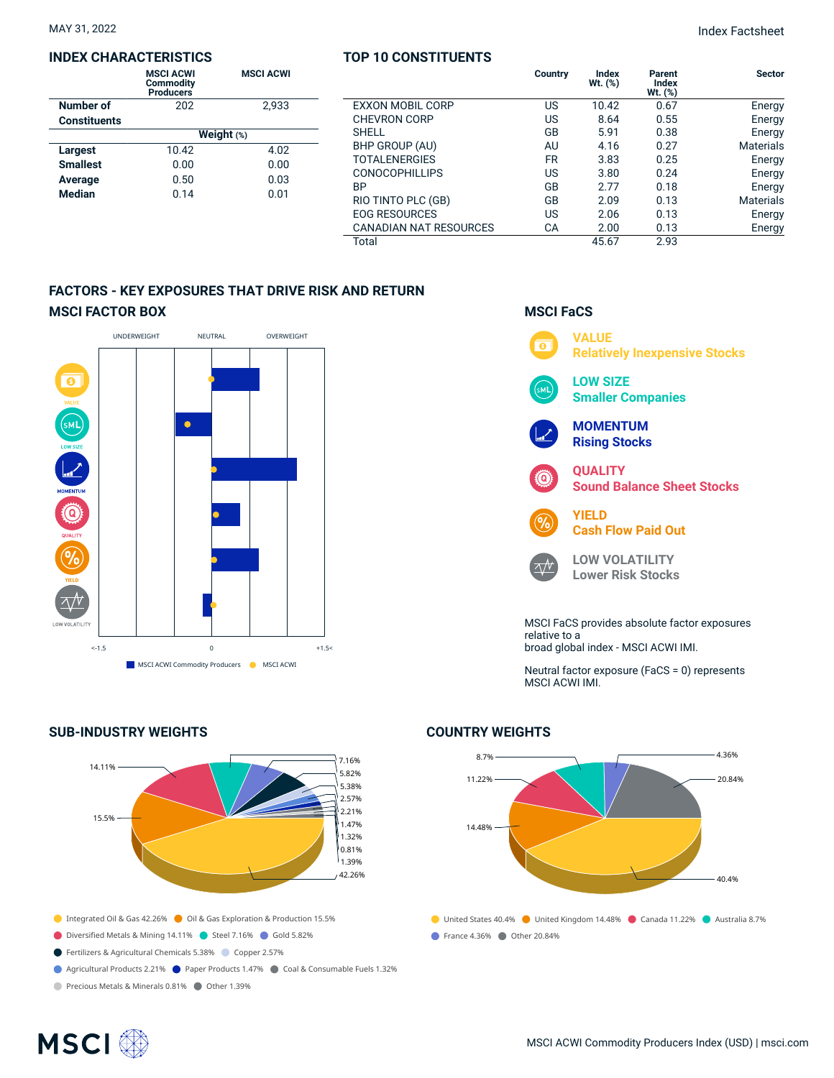#### **INDEX CHARACTERISTICS**

| <b>MSCI ACWI</b><br><b>Commodity</b><br><b>Producers</b> | <b>MSCI ACWI</b> |  |  |  |  |  |  |
|----------------------------------------------------------|------------------|--|--|--|--|--|--|
| 202                                                      | 2.933            |  |  |  |  |  |  |
|                                                          |                  |  |  |  |  |  |  |
| Weight $(*)$                                             |                  |  |  |  |  |  |  |
| 10.42                                                    | 4.02             |  |  |  |  |  |  |
| 0.00                                                     | 0.00             |  |  |  |  |  |  |
| 0.50                                                     | 0.03             |  |  |  |  |  |  |
| 0.14                                                     | 0.01             |  |  |  |  |  |  |
|                                                          |                  |  |  |  |  |  |  |

### **TOP 10 CONSTITUENTS**

|                         | Country   | <b>Index</b><br>Wt. (%) | Parent<br><b>Index</b><br>$Wt.$ $(\%)$ | <b>Sector</b>    |
|-------------------------|-----------|-------------------------|----------------------------------------|------------------|
| <b>EXXON MOBIL CORP</b> | US        | 10.42                   | 0.67                                   | Energy           |
| <b>CHEVRON CORP</b>     | US        | 8.64                    | 0.55                                   | Energy           |
| <b>SHELL</b>            | GB        | 5.91                    | 0.38                                   | Energy           |
| BHP GROUP (AU)          | AU        | 4.16                    | 0.27                                   | <b>Materials</b> |
| <b>TOTALENERGIES</b>    | <b>FR</b> | 3.83                    | 0.25                                   | Energy           |
| <b>CONOCOPHILLIPS</b>   | US        | 3.80                    | 0.24                                   | Energy           |
| <b>BP</b>               | GB        | 2.77                    | 0.18                                   | Energy           |
| RIO TINTO PLC (GB)      | GB        | 2.09                    | 0.13                                   | <b>Materials</b> |
| <b>EOG RESOURCES</b>    | US        | 2.06                    | 0.13                                   | Energy           |
| CANADIAN NAT RESOURCES  | CA        | 2.00                    | 0.13                                   | Energy           |
| Total                   |           | 45.67                   | 2.93                                   |                  |

**MSCI FaCS**

#### **FACTORS - KEY EXPOSURES THAT DRIVE RISK AND RETURN MSCI FACTOR BOX**



#### **SUB-INDUSTRY WEIGHTS**



- Diversified Metals & Mining 14.11% Steel 7.16% Gold 5.82%
- Fertilizers & Agricultural Chemicals 5.38% Copper 2.57%
- Agricultural Products 2.21% Paper Products 1.47% Coal & Consumable Fuels 1.32%

Precious Metals & Minerals 0.81% Other 1.39%



Neutral factor exposure (FaCS = 0) represents MSCI ACWI IMI.

### ● United States 40.4% ● United Kingdom 14.48% ● Canada 11.22% ● Australia 8.7% **France 4.36% Other 20.84%** 8.7% 11.22% 14.48% 4.36% 20.84% 40.4%

#### **COUNTRY WEIGHTS**

## **MSCI**<sup>®</sup>